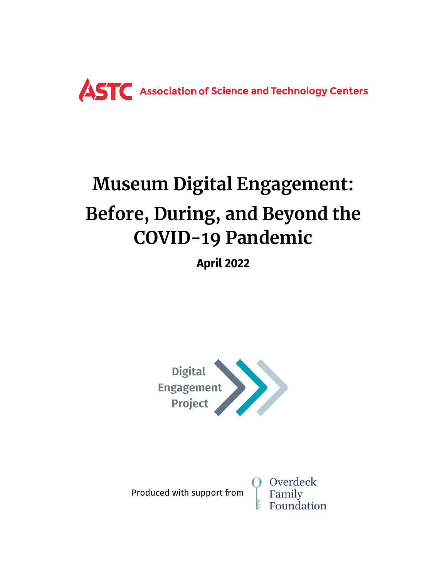

# **Museum Digital Engagement: Before, During, and Beyond the COVID-19 Pandemic**

**April 2022**



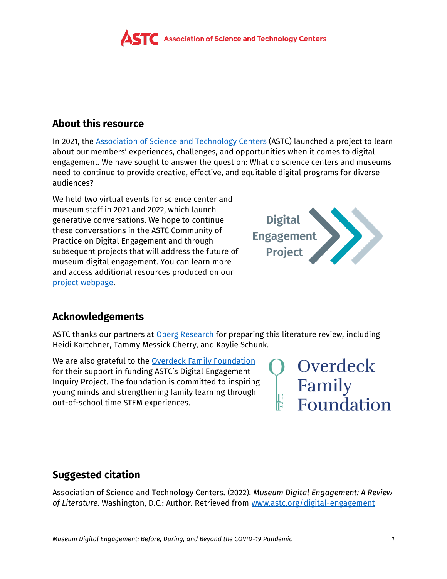

# **About this resource**

In 2021, the [Association of Science and Technology Centers](https://www.astc.org/) (ASTC) launched a project to learn about our members' experiences, challenges, and opportunities when it comes to digital engagement. We have sought to answer the question: What do science centers and museums need to continue to provide creative, effective, and equitable digital programs for diverse audiences?

We held two virtual events for science center and museum staff in 2021 and 2022, which launch generative conversations. We hope to continue these conversations in the ASTC Community of Practice on Digital Engagement and through subsequent projects that will address the future of museum digital engagement. You can learn more and access additional resources produced on our [project webpage.](https://www.astc.org/digital-engagement/)



# **Acknowledgements**

ASTC thanks our partners at [Oberg Research](http://www.obergresearch.com/) for preparing this literature review, including Heidi Kartchner, Tammy Messick Cherry, and Kaylie Schunk.

We are also grateful to the **Overdeck Family Foundation** for their support in funding ASTC's Digital Engagement Inquiry Project. The foundation is committed to inspiring young minds and strengthening family learning through out-of-school time STEM experiences.

Overdeck Family<br>Foundation

# **Suggested citation**

Association of Science and Technology Centers. (2022). *Museum Digital Engagement: A Review of Literature*. Washington, D.C.: Author. Retrieved from [www.astc.org/digital-engagement](https://www.astc.org/digital-engagement/)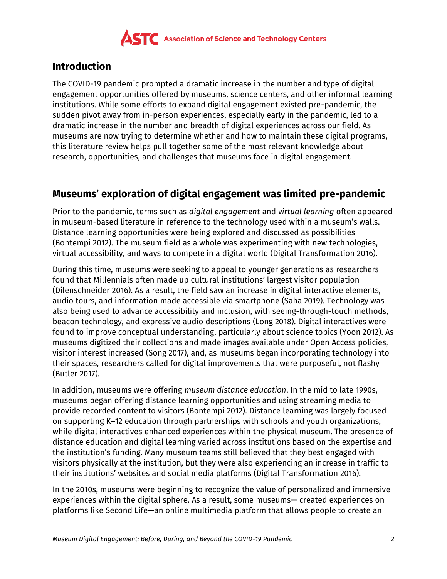

### **Introduction**

The COVID-19 pandemic prompted a dramatic increase in the number and type of digital engagement opportunities offered by museums, science centers, and other informal learning institutions. While some efforts to expand digital engagement existed pre-pandemic, the sudden pivot away from in-person experiences, especially early in the pandemic, led to a dramatic increase in the number and breadth of digital experiences across our field. As museums are now trying to determine whether and how to maintain these digital programs, this literature review helps pull together some of the most relevant knowledge about research, opportunities, and challenges that museums face in digital engagement.

# **Museums' exploration of digital engagement was limited pre-pandemic**

Prior to the pandemic, terms such as *digital engagement* and *virtual learning* often appeared in museum-based literature in reference to the technology used within a museum's walls. Distance learning opportunities were being explored and discussed as possibilities (Bontempi 2012). The museum field as a whole was experimenting with new technologies, virtual accessibility, and ways to compete in a digital world (Digital Transformation 2016).

During this time, museums were seeking to appeal to younger generations as researchers found that Millennials often made up cultural institutions' largest visitor population (Dilenschneider 2016). As a result, the field saw an increase in digital interactive elements, audio tours, and information made accessible via smartphone (Saha 2019). Technology was also being used to advance accessibility and inclusion, with seeing-through-touch methods, beacon technology, and expressive audio descriptions (Long 2018). Digital interactives were found to improve conceptual understanding, particularly about science topics (Yoon 2012). As museums digitized their collections and made images available under Open Access policies, visitor interest increased (Song 2017), and, as museums began incorporating technology into their spaces, researchers called for digital improvements that were purposeful, not flashy (Butler 2017).

In addition, museums were offering *museum distance education*. In the mid to late 1990s, museums began offering distance learning opportunities and using streaming media to provide recorded content to visitors (Bontempi 2012). Distance learning was largely focused on supporting K–12 education through partnerships with schools and youth organizations, while digital interactives enhanced experiences within the physical museum. The presence of distance education and digital learning varied across institutions based on the expertise and the institution's funding. Many museum teams still believed that they best engaged with visitors physically at the institution, but they were also experiencing an increase in traffic to their institutions' websites and social media platforms (Digital Transformation 2016).

In the 2010s, museums were beginning to recognize the value of personalized and immersive experiences within the digital sphere. As a result, some museums— created experiences on platforms like Second Life—an online multimedia platform that allows people to create an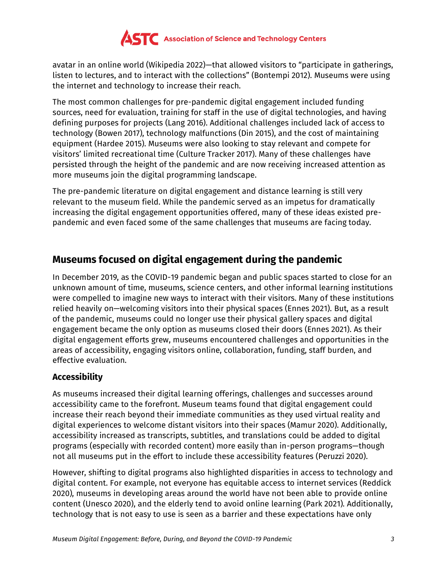

avatar in an online world (Wikipedia 2022)—that allowed visitors to "participate in gatherings, listen to lectures, and to interact with the collections" (Bontempi 2012). Museums were using the internet and technology to increase their reach.

The most common challenges for pre-pandemic digital engagement included funding sources, need for evaluation, training for staff in the use of digital technologies, and having defining purposes for projects (Lang 2016). Additional challenges included lack of access to technology (Bowen 2017), technology malfunctions (Din 2015), and the cost of maintaining equipment (Hardee 2015). Museums were also looking to stay relevant and compete for visitors' limited recreational time (Culture Tracker 2017). Many of these challenges have persisted through the height of the pandemic and are now receiving increased attention as more museums join the digital programming landscape.

The pre-pandemic literature on digital engagement and distance learning is still very relevant to the museum field. While the pandemic served as an impetus for dramatically increasing the digital engagement opportunities offered, many of these ideas existed prepandemic and even faced some of the same challenges that museums are facing today.

# **Museums focused on digital engagement during the pandemic**

In December 2019, as the COVID-19 pandemic began and public spaces started to close for an unknown amount of time, museums, science centers, and other informal learning institutions were compelled to imagine new ways to interact with their visitors. Many of these institutions relied heavily on—welcoming visitors into their physical spaces (Ennes 2021). But, as a result of the pandemic, museums could no longer use their physical gallery spaces and digital engagement became the only option as museums closed their doors (Ennes 2021). As their digital engagement efforts grew, museums encountered challenges and opportunities in the areas of accessibility, engaging visitors online, collaboration, funding, staff burden, and effective evaluation.

#### **Accessibility**

As museums increased their digital learning offerings, challenges and successes around accessibility came to the forefront. Museum teams found that digital engagement could increase their reach beyond their immediate communities as they used virtual reality and digital experiences to welcome distant visitors into their spaces (Mamur 2020). Additionally, accessibility increased as transcripts, subtitles, and translations could be added to digital programs (especially with recorded content) more easily than in-person programs—though not all museums put in the effort to include these accessibility features (Peruzzi 2020).

However, shifting to digital programs also highlighted disparities in access to technology and digital content. For example, not everyone has equitable access to internet services (Reddick 2020), museums in developing areas around the world have not been able to provide online content (Unesco 2020), and the elderly tend to avoid online learning (Park 2021). Additionally, technology that is not easy to use is seen as a barrier and these expectations have only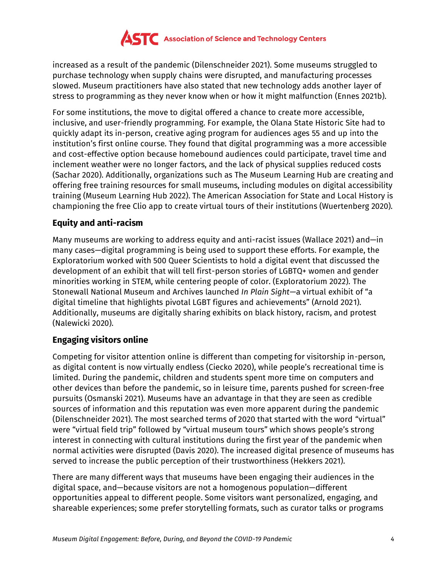

increased as a result of the pandemic (Dilenschneider 2021). Some museums struggled to purchase technology when supply chains were disrupted, and manufacturing processes slowed. Museum practitioners have also stated that new technology adds another layer of stress to programming as they never know when or how it might malfunction (Ennes 2021b).

For some institutions, the move to digital offered a chance to create more accessible, inclusive, and user-friendly programming. For example, the Olana State Historic Site had to quickly adapt its in-person, creative aging program for audiences ages 55 and up into the institution's first online course. They found that digital programming was a more accessible and cost-effective option because homebound audiences could participate, travel time and inclement weather were no longer factors, and the lack of physical supplies reduced costs (Sachar 2020). Additionally, organizations such as The Museum Learning Hub are creating and offering free training resources for small museums, including modules on digital accessibility training (Museum Learning Hub 2022). The American Association for State and Local History is championing the free Clio app to create virtual tours of their institutions (Wuertenberg 2020).

#### **Equity and anti-racism**

Many museums are working to address equity and anti-racist issues (Wallace 2021) and—in many cases—digital programming is being used to support these efforts. For example, the Exploratorium worked with 500 Queer Scientists to hold a digital event that discussed the development of an exhibit that will tell first-person stories of LGBTQ+ women and gender minorities working in STEM, while centering people of color. (Exploratorium 2022). The Stonewall National Museum and Archives launched *In Plain Sight*—a virtual exhibit of "a digital timeline that highlights pivotal LGBT figures and achievements" (Arnold 2021). Additionally, museums are digitally sharing exhibits on black history, racism, and protest (Nalewicki 2020).

#### **Engaging visitors online**

Competing for visitor attention online is different than competing for visitorship in-person, as digital content is now virtually endless (Ciecko 2020), while people's recreational time is limited. During the pandemic, children and students spent more time on computers and other devices than before the pandemic, so in leisure time, parents pushed for screen-free pursuits (Osmanski 2021). Museums have an advantage in that they are seen as credible sources of information and this reputation was even more apparent during the pandemic (Dilenschneider 2021). The most searched terms of 2020 that started with the word "virtual" were "virtual field trip" followed by "virtual museum tours" which shows people's strong interest in connecting with cultural institutions during the first year of the pandemic when normal activities were disrupted (Davis 2020). The increased digital presence of museums has served to increase the public perception of their trustworthiness (Hekkers 2021).

There are many different ways that museums have been engaging their audiences in the digital space, and—because visitors are not a homogenous population—different opportunities appeal to different people. Some visitors want personalized, engaging, and shareable experiences; some prefer storytelling formats, such as curator talks or programs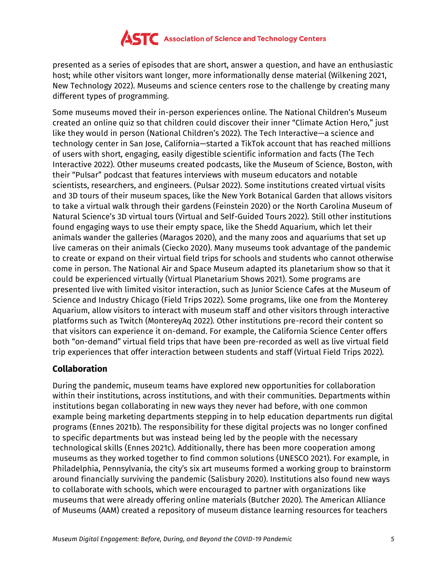

presented as a series of episodes that are short, answer a question, and have an enthusiastic host; while other visitors want longer, more informationally dense material (Wilkening 2021, New Technology 2022). Museums and science centers rose to the challenge by creating many different types of programming.

Some museums moved their in-person experiences online. The National Children's Museum created an online quiz so that children could discover their inner "Climate Action Hero," just like they would in person (National Children's 2022). The Tech Interactive—a science and technology center in San Jose, California—started a TikTok account that has reached millions of users with short, engaging, easily digestible scientific information and facts (The Tech Interactive 2022). Other museums created podcasts, like the Museum of Science, Boston, with their "Pulsar" podcast that features interviews with museum educators and notable scientists, researchers, and engineers. (Pulsar 2022). Some institutions created virtual visits and 3D tours of their museum spaces, like the New York Botanical Garden that allows visitors to take a virtual walk through their gardens (Feinstein 2020) or the North Carolina Museum of Natural Science's 3D virtual tours (Virtual and Self-Guided Tours 2022). Still other institutions found engaging ways to use their empty space, like the Shedd Aquarium, which let their animals wander the galleries (Maragos 2020), and the many zoos and aquariums that set up live cameras on their animals (Ciecko 2020). Many museums took advantage of the pandemic to create or expand on their virtual field trips for schools and students who cannot otherwise come in person. The National Air and Space Museum adapted its planetarium show so that it could be experienced virtually (Virtual Planetarium Shows 2021). Some programs are presented live with limited visitor interaction, such as Junior Science Cafes at the Museum of Science and Industry Chicago (Field Trips 2022). Some programs, like one from the Monterey Aquarium, allow visitors to interact with museum staff and other visitors through interactive platforms such as Twitch (MontereyAq 2022). Other institutions pre-record their content so that visitors can experience it on-demand. For example, the California Science Center offers both "on-demand" virtual field trips that have been pre-recorded as well as live virtual field trip experiences that offer interaction between students and staff (Virtual Field Trips 2022).

#### **Collaboration**

During the pandemic, museum teams have explored new opportunities for collaboration within their institutions, across institutions, and with their communities. Departments within institutions began collaborating in new ways they never had before, with one common example being marketing departments stepping in to help education departments run digital programs (Ennes 2021b). The responsibility for these digital projects was no longer confined to specific departments but was instead being led by the people with the necessary technological skills (Ennes 2021c). Additionally, there has been more cooperation among museums as they worked together to find common solutions (UNESCO 2021). For example, in Philadelphia, Pennsylvania, the city's six art museums formed a working group to brainstorm around financially surviving the pandemic (Salisbury 2020). Institutions also found new ways to collaborate with schools, which were encouraged to partner with organizations like museums that were already offering online materials (Butcher 2020). The American Alliance of Museums (AAM) created a repository of museum distance learning resources for teachers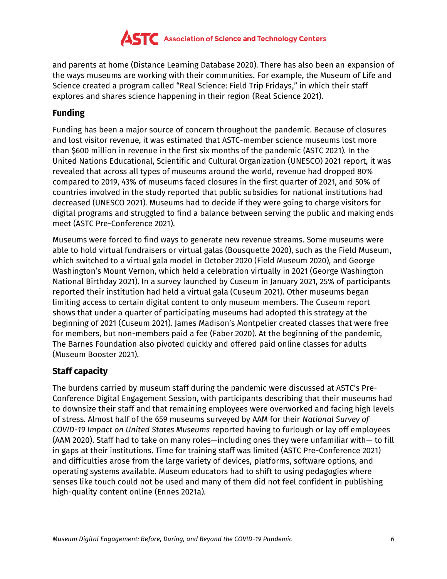

and parents at home (Distance Learning Database 2020). There has also been an expansion of the ways museums are working with their communities. For example, the Museum of Life and Science created a program called "Real Science: Field Trip Fridays," in which their staff explores and shares science happening in their region (Real Science 2021).

#### **Funding**

Funding has been a major source of concern throughout the pandemic. Because of closures and lost visitor revenue, it was estimated that ASTC-member science museums lost more than \$600 million in revenue in the first six months of the pandemic (ASTC 2021). In the United Nations Educational, Scientific and Cultural Organization (UNESCO) 2021 report, it was revealed that across all types of museums around the world, revenue had dropped 80% compared to 2019, 43% of museums faced closures in the first quarter of 2021, and 50% of countries involved in the study reported that public subsidies for national institutions had decreased (UNESCO 2021). Museums had to decide if they were going to charge visitors for digital programs and struggled to find a balance between serving the public and making ends meet (ASTC Pre-Conference 2021).

Museums were forced to find ways to generate new revenue streams. Some museums were able to hold virtual fundraisers or virtual galas (Bousquette 2020), such as the Field Museum, which switched to a virtual gala model in October 2020 (Field Museum 2020), and George Washington's Mount Vernon, which held a celebration virtually in 2021 (George Washington National Birthday 2021). In a survey launched by Cuseum in January 2021, 25% of participants reported their institution had held a virtual gala (Cuseum 2021). Other museums began limiting access to certain digital content to only museum members. The Cuseum report shows that under a quarter of participating museums had adopted this strategy at the beginning of 2021 (Cuseum 2021). James Madison's Montpelier created classes that were free for members, but non-members paid a fee (Faber 2020). At the beginning of the pandemic, The Barnes Foundation also pivoted quickly and offered paid online classes for adults (Museum Booster 2021).

#### **Staff capacity**

The burdens carried by museum staff during the pandemic were discussed at ASTC's Pre-Conference Digital Engagement Session, with participants describing that their museums had to downsize their staff and that remaining employees were overworked and facing high levels of stress. Almost half of the 659 museums surveyed by AAM for their *National Survey of COVID-19 Impact on United States Museums* reported having to furlough or lay off employees (AAM 2020). Staff had to take on many roles—including ones they were unfamiliar with— to fill in gaps at their institutions. Time for training staff was limited (ASTC Pre-Conference 2021) and difficulties arose from the large variety of devices, platforms, software options, and operating systems available. Museum educators had to shift to using pedagogies where senses like touch could not be used and many of them did not feel confident in publishing high-quality content online (Ennes 2021a).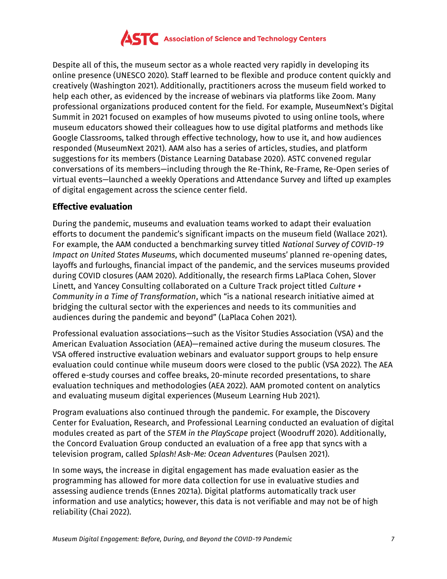

Despite all of this, the museum sector as a whole reacted very rapidly in developing its online presence (UNESCO 2020). Staff learned to be flexible and produce content quickly and creatively (Washington 2021). Additionally, practitioners across the museum field worked to help each other, as evidenced by the increase of webinars via platforms like Zoom. Many professional organizations produced content for the field. For example, MuseumNext's Digital Summit in 2021 focused on examples of how museums pivoted to using online tools, where museum educators showed their colleagues how to use digital platforms and methods like Google Classrooms, talked through effective technology, how to use it, and how audiences responded (MuseumNext 2021). AAM also has a series of articles, studies, and platform suggestions for its members (Distance Learning Database 2020). ASTC convened regular conversations of its members—including through the Re-Think, Re-Frame, Re-Open series of virtual events—launched a weekly Operations and Attendance Survey and lifted up examples of digital engagement across the science center field.

#### **Effective evaluation**

During the pandemic, museums and evaluation teams worked to adapt their evaluation efforts to document the pandemic's significant impacts on the museum field (Wallace 2021). For example, the AAM conducted a benchmarking survey titled *National Survey of COVID-19 Impact on United States Museums*, which documented museums' planned re-opening dates, layoffs and furloughs, financial impact of the pandemic, and the services museums provided during COVID closures (AAM 2020). Additionally, the research firms LaPlaca Cohen, Slover Linett, and Yancey Consulting collaborated on a Culture Track project titled *Culture + Community in a Time of Transformation*, which "is a national research initiative aimed at bridging the cultural sector with the experiences and needs to its communities and audiences during the pandemic and beyond" (LaPlaca Cohen 2021).

Professional evaluation associations—such as the Visitor Studies Association (VSA) and the American Evaluation Association (AEA)—remained active during the museum closures. The VSA offered instructive evaluation webinars and evaluator support groups to help ensure evaluation could continue while museum doors were closed to the public (VSA 2022). The AEA offered e-study courses and coffee breaks, 20-minute recorded presentations, to share evaluation techniques and methodologies (AEA 2022). AAM promoted content on analytics and evaluating museum digital experiences (Museum Learning Hub 2021).

Program evaluations also continued through the pandemic. For example, the Discovery Center for Evaluation, Research, and Professional Learning conducted an evaluation of digital modules created as part of the *STEM in the PlayScape* project (Woodruff 2020). Additionally, the Concord Evaluation Group conducted an evaluation of a free app that syncs with a television program, called *Splash! Ask-Me: Ocean Adventures* (Paulsen 2021).

In some ways, the increase in digital engagement has made evaluation easier as the programming has allowed for more data collection for use in evaluative studies and assessing audience trends (Ennes 2021a). Digital platforms automatically track user information and use analytics; however, this data is not verifiable and may not be of high reliability (Chai 2022).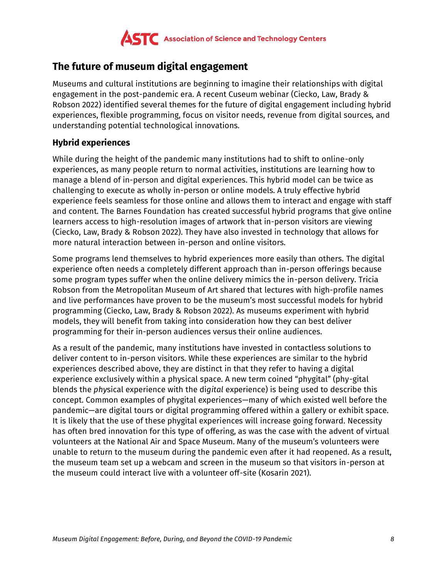

# **The future of museum digital engagement**

Museums and cultural institutions are beginning to imagine their relationships with digital engagement in the post-pandemic era. A recent Cuseum webinar (Ciecko, Law, Brady & Robson 2022) identified several themes for the future of digital engagement including hybrid experiences, flexible programming, focus on visitor needs, revenue from digital sources, and understanding potential technological innovations.

#### **Hybrid experiences**

While during the height of the pandemic many institutions had to shift to online-only experiences, as many people return to normal activities, institutions are learning how to manage a blend of in-person and digital experiences. This hybrid model can be twice as challenging to execute as wholly in-person or online models. A truly effective hybrid experience feels seamless for those online and allows them to interact and engage with staff and content. The Barnes Foundation has created successful hybrid programs that give online learners access to high-resolution images of artwork that in-person visitors are viewing (Ciecko, Law, Brady & Robson 2022). They have also invested in technology that allows for more natural interaction between in-person and online visitors.

Some programs lend themselves to hybrid experiences more easily than others. The digital experience often needs a completely different approach than in-person offerings because some program types suffer when the online delivery mimics the in-person delivery. Tricia Robson from the Metropolitan Museum of Art shared that lectures with high-profile names and live performances have proven to be the museum's most successful models for hybrid programming (Ciecko, Law, Brady & Robson 2022). As museums experiment with hybrid models, they will benefit from taking into consideration how they can best deliver programming for their in-person audiences versus their online audiences.

As a result of the pandemic, many institutions have invested in contactless solutions to deliver content to in-person visitors. While these experiences are similar to the hybrid experiences described above, they are distinct in that they refer to having a digital experience exclusively within a physical space. A new term coined "phygital" (phy-gital blends the *phy*sical experience with the di*gital* experience) is being used to describe this concept. Common examples of phygital experiences—many of which existed well before the pandemic—are digital tours or digital programming offered within a gallery or exhibit space. It is likely that the use of these phygital experiences will increase going forward. Necessity has often bred innovation for this type of offering, as was the case with the advent of virtual volunteers at the National Air and Space Museum. Many of the museum's volunteers were unable to return to the museum during the pandemic even after it had reopened. As a result, the museum team set up a webcam and screen in the museum so that visitors in-person at the museum could interact live with a volunteer off-site (Kosarin 2021).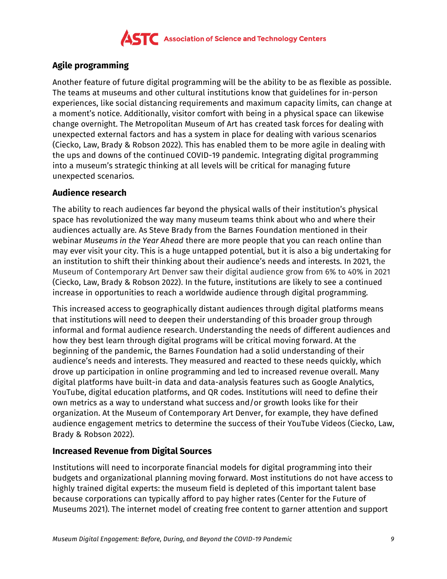

#### **Agile programming**

Another feature of future digital programming will be the ability to be as flexible as possible. The teams at museums and other cultural institutions know that guidelines for in-person experiences, like social distancing requirements and maximum capacity limits, can change at a moment's notice. Additionally, visitor comfort with being in a physical space can likewise change overnight. The Metropolitan Museum of Art has created task forces for dealing with unexpected external factors and has a system in place for dealing with various scenarios (Ciecko, Law, Brady & Robson 2022). This has enabled them to be more agile in dealing with the ups and downs of the continued COVID-19 pandemic. Integrating digital programming into a museum's strategic thinking at all levels will be critical for managing future unexpected scenarios.

#### **Audience research**

The ability to reach audiences far beyond the physical walls of their institution's physical space has revolutionized the way many museum teams think about who and where their audiences actually are. As Steve Brady from the Barnes Foundation mentioned in their webinar *Museums in the Year Ahead* there are more people that you can reach online than may ever visit your city. This is a huge untapped potential, but it is also a big undertaking for an institution to shift their thinking about their audience's needs and interests. In 2021, the Museum of Contemporary Art Denver saw their digital audience grow from 6% to 40% in 2021 (Ciecko, Law, Brady & Robson 2022). In the future, institutions are likely to see a continued increase in opportunities to reach a worldwide audience through digital programming.

This increased access to geographically distant audiences through digital platforms means that institutions will need to deepen their understanding of this broader group through informal and formal audience research. Understanding the needs of different audiences and how they best learn through digital programs will be critical moving forward. At the beginning of the pandemic, the Barnes Foundation had a solid understanding of their audience's needs and interests. They measured and reacted to these needs quickly, which drove up participation in online programming and led to increased revenue overall. Many digital platforms have built-in data and data-analysis features such as Google Analytics, YouTube, digital education platforms, and QR codes. Institutions will need to define their own metrics as a way to understand what success and/or growth looks like for their organization. At the Museum of Contemporary Art Denver, for example, they have defined audience engagement metrics to determine the success of their YouTube Videos (Ciecko, Law, Brady & Robson 2022).

#### **Increased Revenue from Digital Sources**

Institutions will need to incorporate financial models for digital programming into their budgets and organizational planning moving forward. Most institutions do not have access to highly trained digital experts: the museum field is depleted of this important talent base because corporations can typically afford to pay higher rates (Center for the Future of Museums 2021). The internet model of creating free content to garner attention and support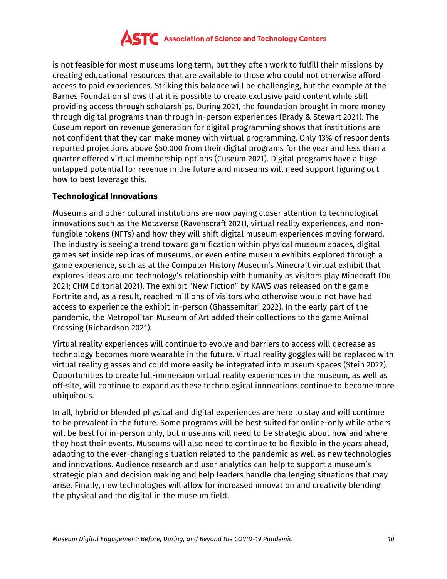

is not feasible for most museums long term, but they often work to fulfill their missions by creating educational resources that are available to those who could not otherwise afford access to paid experiences. Striking this balance will be challenging, but the example at the Barnes Foundation shows that it is possible to create exclusive paid content while still providing access through scholarships. During 2021, the foundation brought in more money through digital programs than through in-person experiences (Brady & Stewart 2021). The Cuseum report on revenue generation for digital programming shows that institutions are not confident that they can make money with virtual programming. Only 13% of respondents reported projections above \$50,000 from their digital programs for the year and less than a quarter offered virtual membership options (Cuseum 2021). Digital programs have a huge untapped potential for revenue in the future and museums will need support figuring out how to best leverage this.

#### **Technological Innovations**

Museums and other cultural institutions are now paying closer attention to technological innovations such as the Metaverse (Ravenscraft 2021), virtual reality experiences, and nonfungible tokens (NFTs) and how they will shift digital museum experiences moving forward. The industry is seeing a trend toward gamification within physical museum spaces, digital games set inside replicas of museums, or even entire museum exhibits explored through a game experience, such as at the Computer History Museum's Minecraft virtual exhibit that explores ideas around technology's relationship with humanity as visitors play Minecraft (Du 2021; CHM Editorial 2021). The exhibit "New Fiction" by KAWS was released on the game Fortnite and, as a result, reached millions of visitors who otherwise would not have had access to experience the exhibit in-person (Ghassemitari 2022). In the early part of the pandemic, the Metropolitan Museum of Art added their collections to the game Animal Crossing (Richardson 2021).

Virtual reality experiences will continue to evolve and barriers to access will decrease as technology becomes more wearable in the future. Virtual reality goggles will be replaced with virtual reality glasses and could more easily be integrated into museum spaces (Stein 2022). Opportunities to create full-immersion virtual reality experiences in the museum, as well as off-site, will continue to expand as these technological innovations continue to become more ubiquitous.

In all, hybrid or blended physical and digital experiences are here to stay and will continue to be prevalent in the future. Some programs will be best suited for online-only while others will be best for in-person only, but museums will need to be strategic about how and where they host their events. Museums will also need to continue to be flexible in the years ahead, adapting to the ever-changing situation related to the pandemic as well as new technologies and innovations. Audience research and user analytics can help to support a museum's strategic plan and decision making and help leaders handle challenging situations that may arise. Finally, new technologies will allow for increased innovation and creativity blending the physical and the digital in the museum field.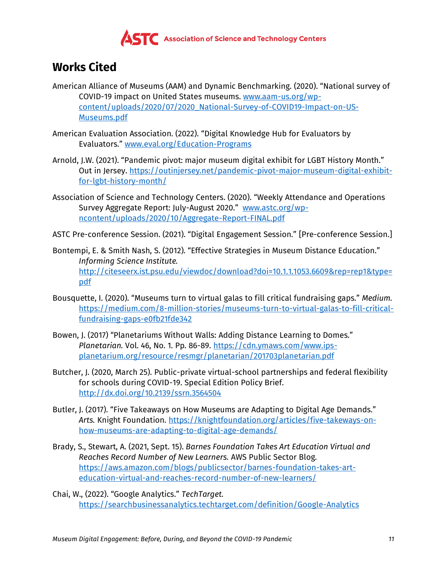

# **Works Cited**

- American Alliance of Museums (AAM) and Dynamic Benchmarking. (2020). "National survey of COVID-19 impact on United States museums. [www.aam-us.org/wp](https://www.aam-us.org/wp-content/uploads/2020/07/2020_National-Survey-of-COVID19-Impact-on-US-Museums.pdf)[content/uploads/2020/07/2020\\_National-Survey-of-COVID19-Impact-on-US-](https://www.aam-us.org/wp-content/uploads/2020/07/2020_National-Survey-of-COVID19-Impact-on-US-Museums.pdf)[Museums.pdf](https://www.aam-us.org/wp-content/uploads/2020/07/2020_National-Survey-of-COVID19-Impact-on-US-Museums.pdf)
- American Evaluation Association. (2022). "Digital Knowledge Hub for Evaluators by Evaluators." [www.eval.org/Education-Programs](https://www.eval.org/Education-Programs)
- Arnold, J.W. (2021). "Pandemic pivot: major museum digital exhibit for LGBT History Month." Out in Jersey. [https://outinjersey.net/pandemic-pivot-major-museum-digital-exhibit](https://outinjersey.net/pandemic-pivot-major-museum-digital-exhibit-for-lgbt-history-month/)[for-lgbt-history-month/](https://outinjersey.net/pandemic-pivot-major-museum-digital-exhibit-for-lgbt-history-month/)
- Association of Science and Technology Centers. (2020). "Weekly Attendance and Operations Survey Aggregate Report: July-August 2020." [www.astc.org/wp](https://www.astc.org/wp-content/uploads/2020/10/Aggregate-Report-FINAL.pdf)[ncontent/uploads/2020/10/Aggregate-Report-FINAL.pdf](https://www.astc.org/wp-content/uploads/2020/10/Aggregate-Report-FINAL.pdf)
- ASTC Pre-conference Session. (2021). "Digital Engagement Session." [Pre-conference Session.]
- Bontempi, E. & Smith Nash, S. (2012). "Effective Strategies in Museum Distance Education." *Informing Science Institute.*  [http://citeseerx.ist.psu.edu/viewdoc/download?doi=10.1.1.1053.6609&rep=rep1&type=](http://citeseerx.ist.psu.edu/viewdoc/download?doi=10.1.1.1053.6609&rep=rep1&type=pdf) [pdf](http://citeseerx.ist.psu.edu/viewdoc/download?doi=10.1.1.1053.6609&rep=rep1&type=pdf)
- Bousquette, I. (2020). "Museums turn to virtual galas to fill critical fundraising gaps." *Medium.*  [https://medium.com/8-million-stories/museums-turn-to-virtual-galas-to-fill-critical](https://medium.com/8-million-stories/museums-turn-to-virtual-galas-to-fill-critical-fundraising-gaps-e0fb21fde342)[fundraising-gaps-e0fb21fde342](https://medium.com/8-million-stories/museums-turn-to-virtual-galas-to-fill-critical-fundraising-gaps-e0fb21fde342)
- Bowen, J. (2017) "Planetariums Without Walls: Adding Distance Learning to Domes." *Planetarian.* Vol. 46, No. 1. Pp. 86-89. [https://cdn.ymaws.com/www.ips](https://cdn.ymaws.com/www.ips-planetarium.org/resource/resmgr/planetarian/201703planetarian.pdf)[planetarium.org/resource/resmgr/planetarian/201703planetarian.pdf](https://cdn.ymaws.com/www.ips-planetarium.org/resource/resmgr/planetarian/201703planetarian.pdf)
- Butcher, J. (2020, March 25). Public-private virtual-school partnerships and federal flexibility for schools during COVID-19. Special Edition Policy Brief. <http://dx.doi.org/10.2139/ssrn.3564504>
- Butler, J. (2017). "Five Takeaways on How Museums are Adapting to Digital Age Demands." *Arts.* Knight Foundation. [https://knightfoundation.org/articles/five-takeways-on](https://knightfoundation.org/articles/five-takeways-on-how-museums-are-adapting-to-digital-age-demands/)[how-museums-are-adapting-to-digital-age-demands/](https://knightfoundation.org/articles/five-takeways-on-how-museums-are-adapting-to-digital-age-demands/)
- Brady, S., Stewart, A. (2021, Sept. 15). *Barnes Foundation Takes Art Education Virtual and Reaches Record Number of New Learners.* AWS Public Sector Blog. [https://aws.amazon.com/blogs/publicsector/barnes-foundation-takes-art](https://aws.amazon.com/blogs/publicsector/barnes-foundation-takes-art-education-virtual-and-reaches-record-number-of-new-learners/)[education-virtual-and-reaches-record-number-of-new-learners/](https://aws.amazon.com/blogs/publicsector/barnes-foundation-takes-art-education-virtual-and-reaches-record-number-of-new-learners/)
- Chai, W., (2022). "Google Analytics." *TechTarget.*  <https://searchbusinessanalytics.techtarget.com/definition/Google-Analytics>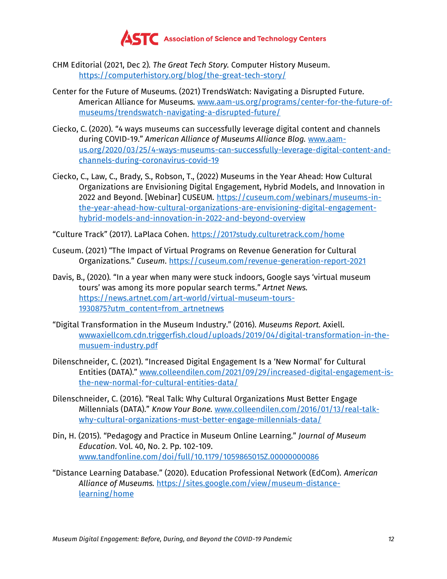

- CHM Editorial (2021, Dec 2). *The Great Tech Story.* Computer History Museum. <https://computerhistory.org/blog/the-great-tech-story/>
- Center for the Future of Museums. (2021) TrendsWatch: Navigating a Disrupted Future. American Alliance for Museums. [www.aam-us.org/programs/center-for-the-future-of](https://www.aam-us.org/programs/center-for-the-future-of-museums/trendswatch-navigating-a-disrupted-future/)[museums/trendswatch-navigating-a-disrupted-future/](https://www.aam-us.org/programs/center-for-the-future-of-museums/trendswatch-navigating-a-disrupted-future/)
- Ciecko, C. (2020). "4 ways museums can successfully leverage digital content and channels during COVID-19." *American Alliance of Museums Alliance Blog.* [www.aam](http://www.aam-us.org/2020/03/25/4-ways-museums-can-successfully-leverage-digital-content-and-channels-during-coronavirus-covid-19)[us.org/2020/03/25/4-ways-museums-can-successfully-leverage-digital-content-and](http://www.aam-us.org/2020/03/25/4-ways-museums-can-successfully-leverage-digital-content-and-channels-during-coronavirus-covid-19)[channels-during-coronavirus-covid-19](http://www.aam-us.org/2020/03/25/4-ways-museums-can-successfully-leverage-digital-content-and-channels-during-coronavirus-covid-19)
- Ciecko, C., Law, C., Brady, S., Robson, T., (2022) Museums in the Year Ahead: How Cultural Organizations are Envisioning Digital Engagement, Hybrid Models, and Innovation in 2022 and Beyond. [Webinar] CUSEUM. [https://cuseum.com/webinars/museums-in](https://cuseum.com/webinars/museums-in-the-year-ahead-how-cultural-organizations-are-envisioning-digital-engagement-hybrid-models-and-innovation-in-2022-and-beyond-overview)[the-year-ahead-how-cultural-organizations-are-envisioning-digital-engagement](https://cuseum.com/webinars/museums-in-the-year-ahead-how-cultural-organizations-are-envisioning-digital-engagement-hybrid-models-and-innovation-in-2022-and-beyond-overview)[hybrid-models-and-innovation-in-2022-and-beyond-overview](https://cuseum.com/webinars/museums-in-the-year-ahead-how-cultural-organizations-are-envisioning-digital-engagement-hybrid-models-and-innovation-in-2022-and-beyond-overview)

"Culture Track" (2017). LaPlaca Cohen. <https://2017study.culturetrack.com/home>

- Cuseum. (2021) "The Impact of Virtual Programs on Revenue Generation for Cultural Organizations." *Cuseum*.<https://cuseum.com/revenue-generation-report-2021>
- Davis, B., (2020). "In a year when many were stuck indoors, Google says 'virtual museum tours' was among its more popular search terms." *Artnet News.*  [https://news.artnet.com/art-world/virtual-museum-tours-](https://news.artnet.com/art-world/virtual-museum-tours-1930875?utm_content=from_artnetnews)[1930875?utm\\_content=from\\_artnetnews](https://news.artnet.com/art-world/virtual-museum-tours-1930875?utm_content=from_artnetnews)
- "Digital Transformation in the Museum Industry." (2016). *Museums Report.* Axiell. [wwwaxiellcom.cdn.triggerfish.cloud/uploads/2019/04/digital-transformation-in-the](https://wwwaxiellcom.cdn.triggerfish.cloud/uploads/2019/04/digital-transformation-in-the-musuem-industry.pdf)[musuem-industry.pdf](https://wwwaxiellcom.cdn.triggerfish.cloud/uploads/2019/04/digital-transformation-in-the-musuem-industry.pdf)
- Dilenschneider, C. (2021). "Increased Digital Engagement Is a 'New Normal' for Cultural Entities (DATA)." [www.colleendilen.com/2021/09/29/increased-digital-engagement-is](https://www.colleendilen.com/2021/09/29/increased-digital-engagement-is-the-new-normal-for-cultural-entities-data/)[the-new-normal-for-cultural-entities-data/](https://www.colleendilen.com/2021/09/29/increased-digital-engagement-is-the-new-normal-for-cultural-entities-data/)
- Dilenschneider, C. (2016). "Real Talk: Why Cultural Organizations Must Better Engage Millennials (DATA)." *Know Your Bone.* [www.colleendilen.com/2016/01/13/real-talk](https://www.colleendilen.com/2016/01/13/real-talk-why-cultural-organizations-must-better-engage-millennials-data/)[why-cultural-organizations-must-better-engage-millennials-data/](https://www.colleendilen.com/2016/01/13/real-talk-why-cultural-organizations-must-better-engage-millennials-data/)
- Din, H. (2015). "Pedagogy and Practice in Museum Online Learning." *Journal of Museum Education.* Vol. 40, No. 2. Pp. 102-109. [www.tandfonline.com/doi/full/10.1179/1059865015Z.00000000086](http://www.tandfonline.com/doi/full/10.1179/1059865015Z.00000000086)
- "Distance Learning Database." (2020). Education Professional Network (EdCom). *American Alliance of Museums.* [https://sites.google.com/view/museum-distance](https://sites.google.com/view/museum-distance-learning/home)[learning/home](https://sites.google.com/view/museum-distance-learning/home)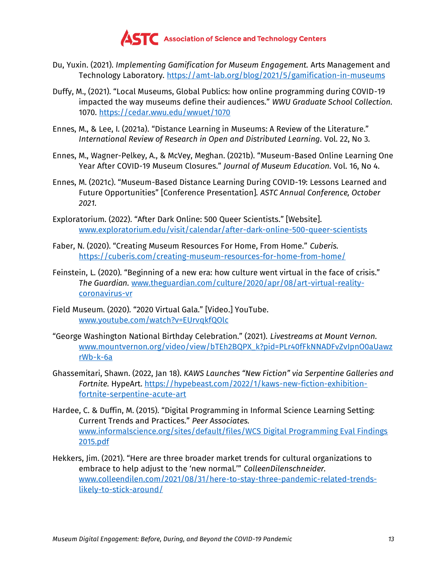

- Du, Yuxin. (2021). *Implementing Gamification for Museum Engagement.* Arts Management and Technology Laboratory.<https://amt-lab.org/blog/2021/5/gamification-in-museums>
- Duffy, M., (2021). "Local Museums, Global Publics: how online programming during COVID-19 impacted the way museums define their audiences." *WWU Graduate School Collection.*  1070.<https://cedar.wwu.edu/wwuet/1070>
- Ennes, M., & Lee, I. (2021a). "Distance Learning in Museums: A Review of the Literature." *International Review of Research in Open and Distributed Learning.* Vol. 22, No 3.
- Ennes, M., Wagner-Pelkey, A., & McVey, Meghan. (2021b). "Museum-Based Online Learning One Year After COVID-19 Museum Closures." *Journal of Museum Education.* Vol. 16, No 4.
- Ennes, M. (2021c). "Museum-Based Distance Learning During COVID-19: Lessons Learned and Future Opportunities" [Conference Presentation]. *ASTC Annual Conference, October 2021.*
- Exploratorium. (2022). "After Dark Online: 500 Queer Scientists." [Website]. [www.exploratorium.edu/visit/calendar/after-dark-online-500-queer-scientists](https://www.exploratorium.edu/visit/calendar/after-dark-online-500-queer-scientists)
- Faber, N. (2020). "Creating Museum Resources For Home, From Home." *Cuberis.*  <https://cuberis.com/creating-museum-resources-for-home-from-home/>
- Feinstein, L. (2020). "Beginning of a new era: how culture went virtual in the face of crisis." *The Guardian.* [www.theguardian.com/culture/2020/apr/08/art-virtual-reality](https://www.theguardian.com/culture/2020/apr/08/art-virtual-reality-coronavirus-vr)[coronavirus-vr](https://www.theguardian.com/culture/2020/apr/08/art-virtual-reality-coronavirus-vr)
- Field Museum. (2020). "2020 Virtual Gala." [Video.] YouTube. [www.youtube.com/watch?v=EUrvqkfQOlc](https://www.youtube.com/watch?v=EUrvqkfQOlc)
- "George Washington National Birthday Celebration." (2021). *Livestreams at Mount Vernon.*  [www.mountvernon.org/video/view/bTEh2BQPX\\_k?pid=PLr40fFkNNADFvZvIpnO0aUawz](https://www.mountvernon.org/video/view/bTEh2BQPX_k?pid=PLr40fFkNNADFvZvIpnO0aUawzrWb-k-6a) [rWb-k-6a](https://www.mountvernon.org/video/view/bTEh2BQPX_k?pid=PLr40fFkNNADFvZvIpnO0aUawzrWb-k-6a)
- Ghassemitari, Shawn. (2022, Jan 18). *KAWS Launches "New Fiction" via Serpentine Galleries and Fortnite.* HypeArt. [https://hypebeast.com/2022/1/kaws-new-fiction-exhibition](https://hypebeast.com/2022/1/kaws-new-fiction-exhibition-fortnite-serpentine-acute-art)[fortnite-serpentine-acute-art](https://hypebeast.com/2022/1/kaws-new-fiction-exhibition-fortnite-serpentine-acute-art)
- Hardee, C. & Duffin, M. (2015). "Digital Programming in Informal Science Learning Setting: Current Trends and Practices." *Peer Associates.*  [www.informalscience.org/sites/default/files/WCS](https://www.informalscience.org/sites/default/files/WCS%20Digital%20Programming%20Eval%20Findings%202015.pdf) Digital Programming Eval Findings [2015.pdf](https://www.informalscience.org/sites/default/files/WCS%20Digital%20Programming%20Eval%20Findings%202015.pdf)
- Hekkers, Jim. (2021). "Here are three broader market trends for cultural organizations to embrace to help adjust to the 'new normal.'" *ColleenDilenschneider.*  [www.colleendilen.com/2021/08/31/here-to-stay-three-pandemic-related-trends](https://www.colleendilen.com/2021/08/31/here-to-stay-three-pandemic-related-trends-likely-to-stick-around/)[likely-to-stick-around/](https://www.colleendilen.com/2021/08/31/here-to-stay-three-pandemic-related-trends-likely-to-stick-around/)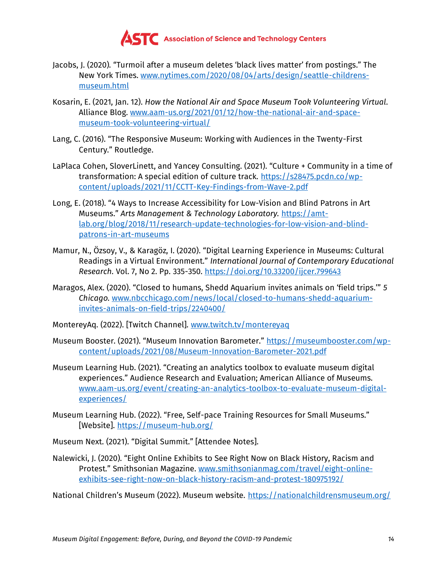

- Jacobs, J. (2020). "Turmoil after a museum deletes 'black lives matter' from postings." The New York Times. [www.nytimes.com/2020/08/04/arts/design/seattle-childrens](https://www.nytimes.com/2020/08/04/arts/design/seattle-childrens-museum.html)[museum.html](https://www.nytimes.com/2020/08/04/arts/design/seattle-childrens-museum.html)
- Kosarin, E. (2021, Jan. 12). *How the National Air and Space Museum Took Volunteering Virtual*. Alliance Blog. [www.aam-us.org/2021/01/12/how-the-national-air-and-space](https://www.aam-us.org/2021/01/12/how-the-national-air-and-space-museum-took-volunteering-virtual/)[museum-took-volunteering-virtual/](https://www.aam-us.org/2021/01/12/how-the-national-air-and-space-museum-took-volunteering-virtual/)
- Lang, C. (2016). "The Responsive Museum: Working with Audiences in the Twenty-First Century." Routledge.
- LaPlaca Cohen, SloverLinett, and Yancey Consulting. (2021). "Culture + Community in a time of transformation: A special edition of culture track. [https://s28475.pcdn.co/wp](https://s28475.pcdn.co/wp-content/uploads/2021/11/CCTT-Key-Findings-from-Wave-2.pdf)[content/uploads/2021/11/CCTT-Key-Findings-from-Wave-2.pdf](https://s28475.pcdn.co/wp-content/uploads/2021/11/CCTT-Key-Findings-from-Wave-2.pdf)
- Long, E. (2018). "4 Ways to Increase Accessibility for Low-Vision and Blind Patrons in Art Museums." *Arts Management & Technology Laboratory.* [https://amt](https://amt-lab.org/blog/2018/11/research-update-technologies-for-low-vision-and-blind-patrons-in-art-museums)[lab.org/blog/2018/11/research-update-technologies-for-low-vision-and-blind](https://amt-lab.org/blog/2018/11/research-update-technologies-for-low-vision-and-blind-patrons-in-art-museums)[patrons-in-art-museums](https://amt-lab.org/blog/2018/11/research-update-technologies-for-low-vision-and-blind-patrons-in-art-museums)
- Mamur, N., Özsoy, V., & Karagöz, I. (2020). "Digital Learning Experience in Museums: Cultural Readings in a Virtual Environment." *International Journal of Contemporary Educational Research.* Vol. 7, No 2. Pp. 335-350.<https://doi.org/10.33200/ijcer.799643>
- Maragos, Alex. (2020). "Closed to humans, Shedd Aquarium invites animals on 'field trips.'" *5 Chicago.* [www.nbcchicago.com/news/local/closed-to-humans-shedd-aquarium](https://www.nbcchicago.com/news/local/closed-to-humans-shedd-aquarium-invites-animals-on-field-trips/2240400/)[invites-animals-on-field-trips/2240400/](https://www.nbcchicago.com/news/local/closed-to-humans-shedd-aquarium-invites-animals-on-field-trips/2240400/)
- MontereyAq. (2022). [Twitch Channel]. [www.twitch.tv/montereyaq](https://www.twitch.tv/montereyaq)
- Museum Booster. (2021). "Museum Innovation Barometer." [https://museumbooster.com/wp](https://museumbooster.com/wp-content/uploads/2021/08/Museum-Innovation-Barometer-2021.pdf)[content/uploads/2021/08/Museum-Innovation-Barometer-2021.pdf](https://museumbooster.com/wp-content/uploads/2021/08/Museum-Innovation-Barometer-2021.pdf)
- Museum Learning Hub. (2021). "Creating an analytics toolbox to evaluate museum digital experiences." Audience Research and Evaluation; American Alliance of Museums. [www.aam-us.org/event/creating-an-analytics-toolbox-to-evaluate-museum-digital](https://www.aam-us.org/event/creating-an-analytics-toolbox-to-evaluate-museum-digital-experiences/)[experiences/](https://www.aam-us.org/event/creating-an-analytics-toolbox-to-evaluate-museum-digital-experiences/)
- Museum Learning Hub. (2022). "Free, Self-pace Training Resources for Small Museums." [Website].<https://museum-hub.org/>
- Museum Next. (2021). "Digital Summit." [Attendee Notes].
- Nalewicki, J. (2020). "Eight Online Exhibits to See Right Now on Black History, Racism and Protest." Smithsonian Magazine. [www.smithsonianmag.com/travel/eight-online](https://www.smithsonianmag.com/travel/eight-online-exhibits-see-right-now-on-black-history-racism-and-protest-180975192/)[exhibits-see-right-now-on-black-history-racism-and-protest-180975192/](https://www.smithsonianmag.com/travel/eight-online-exhibits-see-right-now-on-black-history-racism-and-protest-180975192/)

National Children's Museum (2022). Museum website. <https://nationalchildrensmuseum.org/>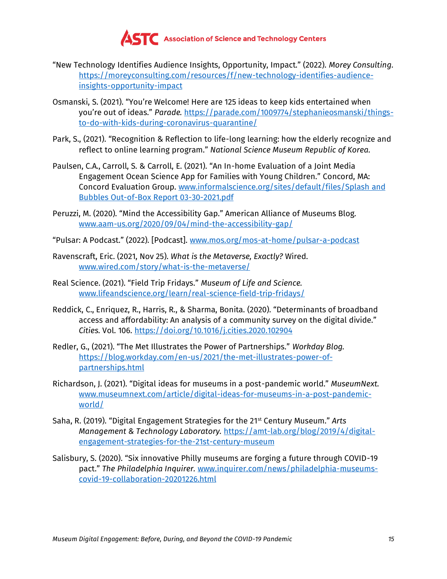

- "New Technology Identifies Audience Insights, Opportunity, Impact." (2022). *Morey Consulting.*  [https://moreyconsulting.com/resources/f/new-technology-identifies-audience](https://moreyconsulting.com/resources/f/new-technology-identifies-audience-insights-opportunity-impact)[insights-opportunity-impact](https://moreyconsulting.com/resources/f/new-technology-identifies-audience-insights-opportunity-impact)
- Osmanski, S. (2021). "You're Welcome! Here are 125 ideas to keep kids entertained when you're out of ideas." *Parade.* [https://parade.com/1009774/stephanieosmanski/things](https://parade.com/1009774/stephanieosmanski/things-to-do-with-kids-during-coronavirus-quarantine/)[to-do-with-kids-during-coronavirus-quarantine/](https://parade.com/1009774/stephanieosmanski/things-to-do-with-kids-during-coronavirus-quarantine/)
- Park, S., (2021). "Recognition & Reflection to life-long learning: how the elderly recognize and reflect to online learning program." *National Science Museum Republic of Korea.*
- Paulsen, C.A., Carroll, S. & Carroll, E. (2021). "An In-home Evaluation of a Joint Media Engagement Ocean Science App for Families with Young Children." Concord, MA: Concord Evaluation Group. [www.informalscience.org/sites/default/files/Splash](https://www.informalscience.org/sites/default/files/Splash%20and%20Bubbles%20Out-of-Box%20Report%2003-30-2021.pdf) and Bubbles Out-of-Box [Report 03-30-2021.pdf](https://www.informalscience.org/sites/default/files/Splash%20and%20Bubbles%20Out-of-Box%20Report%2003-30-2021.pdf)
- Peruzzi, M. (2020). "Mind the Accessibility Gap." American Alliance of Museums Blog. [www.aam-us.org/2020/09/04/mind-the-accessibility-gap/](https://www.aam-us.org/2020/09/04/mind-the-accessibility-gap/)

"Pulsar: A Podcast." (2022). [Podcast]. [www.mos.org/mos-at-home/pulsar-a-podcast](https://www.mos.org/mos-at-home/pulsar-a-podcast)

- Ravenscraft, Eric. (2021, Nov 25). *What is the Metaverse, Exactly?* Wired. [www.wired.com/story/what-is-the-metaverse/](https://www.wired.com/story/what-is-the-metaverse/)
- Real Science. (2021). "Field Trip Fridays." *Museum of Life and Science.*  [www.lifeandscience.org/learn/real-science-field-trip-fridays/](https://www.lifeandscience.org/learn/real-science-field-trip-fridays/)
- Reddick, C., Enriquez, R., Harris, R., & Sharma, Bonita. (2020). "Determinants of broadband access and affordability: An analysis of a community survey on the digital divide." *Cities.* Vol. 106.<https://doi.org/10.1016/j.cities.2020.102904>
- Redler, G., (2021). "The Met Illustrates the Power of Partnerships." *Workday Blog.*  [https://blog.workday.com/en-us/2021/the-met-illustrates-power-of](https://blog.workday.com/en-us/2021/the-met-illustrates-power-of-partnerships.html)[partnerships.html](https://blog.workday.com/en-us/2021/the-met-illustrates-power-of-partnerships.html)
- Richardson, J. (2021). "Digital ideas for museums in a post-pandemic world." *MuseumNext.*  [www.museumnext.com/article/digital-ideas-for-museums-in-a-post-pandemic](https://www.museumnext.com/article/digital-ideas-for-museums-in-a-post-pandemic-world/)[world/](https://www.museumnext.com/article/digital-ideas-for-museums-in-a-post-pandemic-world/)
- Saha, R. (2019). "Digital Engagement Strategies for the 21st Century Museum." *Arts Management & Technology Laboratory.* [https://amt-lab.org/blog/2019/4/digital](https://amt-lab.org/blog/2019/4/digital-engagement-strategies-for-the-21st-century-museum)[engagement-strategies-for-the-21st-century-museum](https://amt-lab.org/blog/2019/4/digital-engagement-strategies-for-the-21st-century-museum)
- Salisbury, S. (2020). "Six innovative Philly museums are forging a future through COVID-19 pact." *The Philadelphia Inquirer.* [www.inquirer.com/news/philadelphia-museums](https://www.inquirer.com/news/philadelphia-museums-covid-19-collaboration-20201226.html)[covid-19-collaboration-20201226.html](https://www.inquirer.com/news/philadelphia-museums-covid-19-collaboration-20201226.html)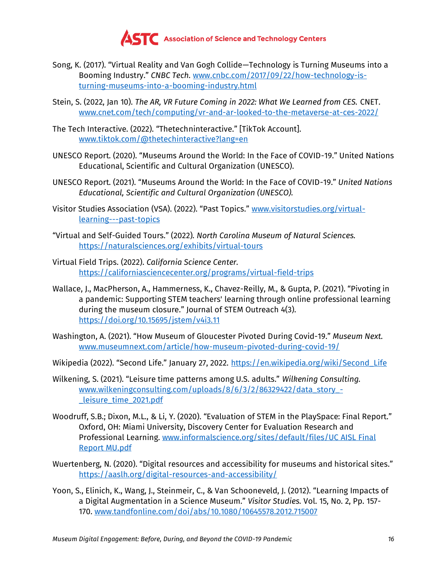

- Song, K. (2017). "Virtual Reality and Van Gogh Collide—Technology is Turning Museums into a Booming Industry." *CNBC Tech.* [www.cnbc.com/2017/09/22/how-technology-is](https://www.cnbc.com/2017/09/22/how-technology-is-turning-museums-into-a-booming-industry.html)[turning-museums-into-a-booming-industry.html](https://www.cnbc.com/2017/09/22/how-technology-is-turning-museums-into-a-booming-industry.html)
- Stein, S. (2022, Jan 10). *The AR, VR Future Coming in 2022: What We Learned from CES.* CNET. [www.cnet.com/tech/computing/vr-and-ar-looked-to-the-metaverse-at-ces-2022/](https://www.cnet.com/tech/computing/vr-and-ar-looked-to-the-metaverse-at-ces-2022/)
- The Tech Interactive. (2022). "Thetechninteractive." [TikTok Account]. [www.tiktok.com/@thetechinteractive?lang=en](https://www.tiktok.com/@thetechinteractive?lang=en)
- UNESCO Report. (2020). "Museums Around the World: In the Face of COVID-19." United Nations Educational, Scientific and Cultural Organization (UNESCO).
- UNESCO Report. (2021). "Museums Around the World: In the Face of COVID-19." *United Nations Educational, Scientific and Cultural Organization (UNESCO).*
- Visitor Studies Association (VSA). (2022). "Past Topics." [www.visitorstudies.org/virtual](https://www.visitorstudies.org/virtual-learning---past-topics)[learning---past-topics](https://www.visitorstudies.org/virtual-learning---past-topics)
- "Virtual and Self-Guided Tours." (2022). *North Carolina Museum of Natural Sciences.* <https://naturalsciences.org/exhibits/virtual-tours>
- Virtual Field Trips. (2022). *California Science Center.*  <https://californiasciencecenter.org/programs/virtual-field-trips>
- Wallace, J., MacPherson, A., Hammerness, K., Chavez-Reilly, M., & Gupta, P. (2021). "Pivoting in a pandemic: Supporting STEM teachers' learning through online professional learning during the museum closure." Journal of STEM Outreach 4(3). <https://doi.org/10.15695/jstem/v4i3.11>
- Washington, A. (2021). "How Museum of Gloucester Pivoted During Covid-19." *Museum Next.*  [www.museumnext.com/article/how-museum-pivoted-during-covid-19/](https://www.museumnext.com/article/how-museum-pivoted-during-covid-19/)
- Wikipedia (2022). "Second Life." January 27, 2022. [https://en.wikipedia.org/wiki/Second\\_Life](https://en.wikipedia.org/wiki/Second_Life)
- Wilkening, S. (2021). "Leisure time patterns among U.S. adults." *Wilkening Consulting.*  [www.wilkeningconsulting.com/uploads/8/6/3/2/86329422/data\\_story\\_-](http://www.wilkeningconsulting.com/uploads/8/6/3/2/86329422/data_story_-_leisure_time_2021.pdf) [\\_leisure\\_time\\_2021.pdf](http://www.wilkeningconsulting.com/uploads/8/6/3/2/86329422/data_story_-_leisure_time_2021.pdf)
- Woodruff, S.B.; Dixon, M.L., & Li, Y. (2020). "Evaluation of STEM in the PlaySpace: Final Report." Oxford, OH: Miami University, Discovery Center for Evaluation Research and Professional Learning. [www.informalscience.org/sites/default/files/UC](https://www.informalscience.org/sites/default/files/UC%20AISL%20Final%20Report%20MU.pdf) AISL Final [Report MU.pdf](https://www.informalscience.org/sites/default/files/UC%20AISL%20Final%20Report%20MU.pdf)
- Wuertenberg, N. (2020). "Digital resources and accessibility for museums and historical sites." <https://aaslh.org/digital-resources-and-accessibility/>
- Yoon, S., Elinich, K., Wang, J., Steinmeir, C., & Van Schooneveld, J. (2012). "Learning Impacts of a Digital Augmentation in a Science Museum." *Visitor Studies.* Vol. 15, No. 2, Pp. 157- 170. [www.tandfonline.com/doi/abs/10.1080/10645578.2012.715007](https://www.tandfonline.com/doi/abs/10.1080/10645578.2012.715007)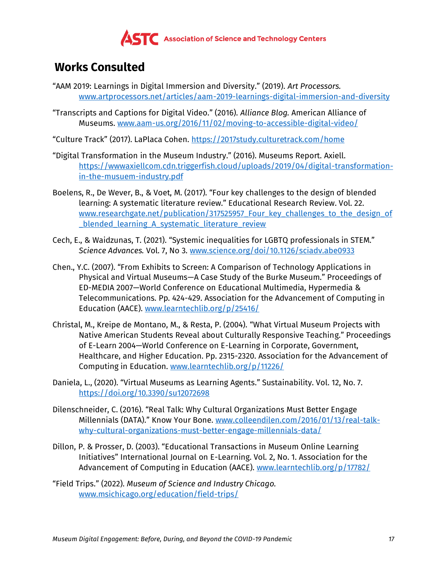

# **Works Consulted**

- "AAM 2019: Learnings in Digital Immersion and Diversity." (2019). *Art Processors.*  [www.artprocessors.net/articles/aam-2019-learnings-digital-immersion-and-diversity](https://www.artprocessors.net/articles/aam-2019-learnings-digital-immersion-and-diversity)
- "Transcripts and Captions for Digital Video." (2016). *Alliance Blog.* American Alliance of Museums. [www.aam-us.org/2016/11/02/moving-to-accessible-digital-video/](https://www.aam-us.org/2016/11/02/moving-to-accessible-digital-video/)
- "Culture Track" (2017). LaPlaca Cohen. <https://2017study.culturetrack.com/home>
- "Digital Transformation in the Museum Industry." (2016). Museums Report. Axiell. [https://wwwaxiellcom.cdn.triggerfish.cloud/uploads/2019/04/digital-transformation](https://wwwaxiellcom.cdn.triggerfish.cloud/uploads/2019/04/digital-transformation-in-the-musuem-industry.pdf)[in-the-musuem-industry.pdf](https://wwwaxiellcom.cdn.triggerfish.cloud/uploads/2019/04/digital-transformation-in-the-musuem-industry.pdf)
- Boelens, R., De Wever, B., & Voet, M. (2017). "Four key challenges to the design of blended learning: A systematic literature review." Educational Research Review. Vol. 22. www.researchgate.net/publication/317525957 Four key challenges to the design of [\\_blended\\_learning\\_A\\_systematic\\_literature\\_review](https://www.researchgate.net/publication/317525957_Four_key_challenges_to_the_design_of_blended_learning_A_systematic_literature_review)
- Cech, E., & Waidzunas, T. (2021). "Systemic inequalities for LGBTQ professionals in STEM." *Science Advances.* Vol. 7, No 3. [www.science.org/doi/10.1126/sciadv.abe0933](https://www.science.org/doi/10.1126/sciadv.abe0933)
- Chen., Y.C. (2007). "From Exhibits to Screen: A Comparison of Technology Applications in Physical and Virtual Museums—A Case Study of the Burke Museum." Proceedings of ED-MEDIA 2007—World Conference on Educational Multimedia, Hypermedia & Telecommunications. Pp. 424-429. Association for the Advancement of Computing in Education (AACE). [www.learntechlib.org/p/25416/](https://www.learntechlib.org/p/25416/)
- Christal, M., Kreipe de Montano, M., & Resta, P. (2004). "What Virtual Museum Projects with Native American Students Reveal about Culturally Responsive Teaching." Proceedings of E-Learn 2004—World Conference on E-Learning in Corporate, Government, Healthcare, and Higher Education. Pp. 2315-2320. Association for the Advancement of Computing in Education. [www.learntechlib.org/p/11226/](https://www.learntechlib.org/p/11226/)
- Daniela, L., (2020). "Virtual Museums as Learning Agents." Sustainability. Vol. 12, No. 7. <https://doi.org/10.3390/su12072698>
- Dilenschneider, C. (2016). "Real Talk: Why Cultural Organizations Must Better Engage Millennials (DATA)." Know Your Bone. [www.colleendilen.com/2016/01/13/real-talk](https://www.colleendilen.com/2016/01/13/real-talk-why-cultural-organizations-must-better-engage-millennials-data/)[why-cultural-organizations-must-better-engage-millennials-data/](https://www.colleendilen.com/2016/01/13/real-talk-why-cultural-organizations-must-better-engage-millennials-data/)
- Dillon, P. & Prosser, D. (2003). "Educational Transactions in Museum Online Learning Initiatives" International Journal on E-Learning. Vol. 2, No. 1. Association for the Advancement of Computing in Education (AACE). [www.learntechlib.org/p/17782/](https://www.learntechlib.org/p/17782/)
- "Field Trips." (2022). *Museum of Science and Industry Chicago.*  [www.msichicago.org/education/field-trips/](https://www.msichicago.org/education/field-trips/)